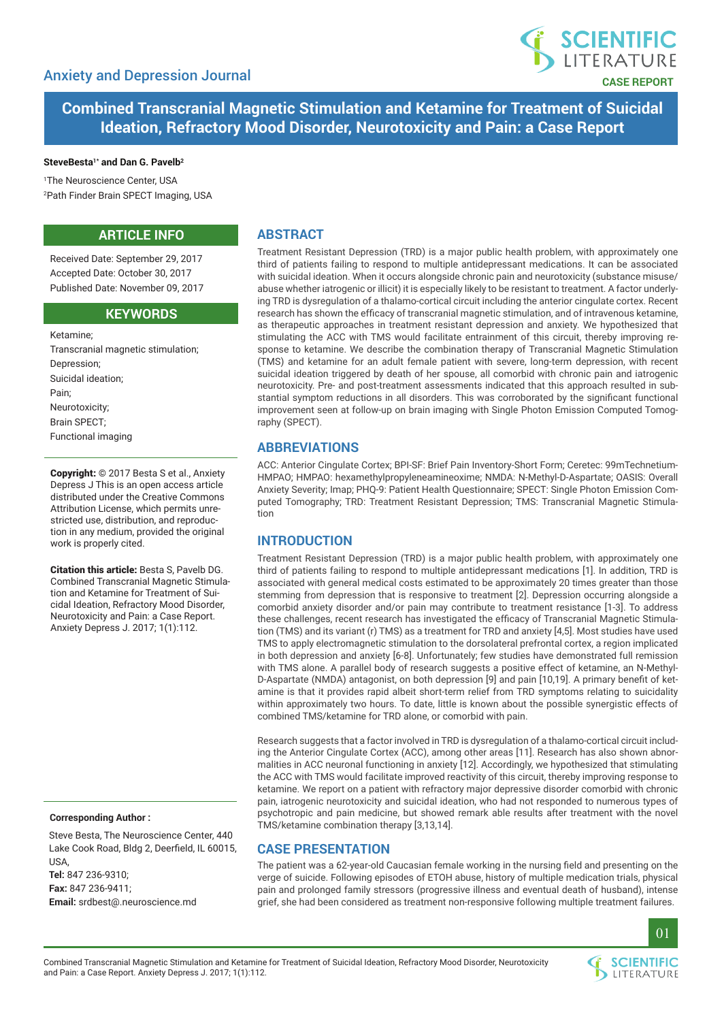

**Combined Transcranial Magnetic Stimulation and Ketamine for Treatment of Suicidal Ideation, Refractory Mood Disorder, Neurotoxicity and Pain: a Case Report**

#### **SteveBesta1\* and Dan G. Pavelb2**

1 The Neuroscience Center, USA 2 Path Finder Brain SPECT Imaging, USA

# **ARTICLE INFO**

Received Date: September 29, 2017 Accepted Date: October 30, 2017 Published Date: November 09, 2017

## **KEywords**

Ketamine; Transcranial magnetic stimulation; Depression; Suicidal ideation; Pain; Neurotoxicity; Brain SPECT; Functional imaging

Copyright: © 2017 Besta S et al., Anxiety Depress J This is an open access article distributed under the Creative Commons Attribution License, which permits unrestricted use, distribution, and reproduction in any medium, provided the original work is properly cited.

Citation this article: Besta S, Pavelb DG. Combined Transcranial Magnetic Stimulation and Ketamine for Treatment of Suicidal Ideation, Refractory Mood Disorder, Neurotoxicity and Pain: a Case Report. Anxiety Depress J. 2017; 1(1):112.

### **Corresponding Author :**

Steve Besta, The Neuroscience Center, 440 Lake Cook Road, Bldg 2, Deerfield, IL 60015, USA, **Tel:** 847 236-9310; **Fax:** 847 236-9411;

**Email:** srdbest@.neuroscience.md

# **Abstract**

Treatment Resistant Depression (TRD) is a major public health problem, with approximately one third of patients failing to respond to multiple antidepressant medications. It can be associated with suicidal ideation. When it occurs alongside chronic pain and neurotoxicity (substance misuse/ abuse whether iatrogenic or illicit) it is especially likely to be resistant to treatment. A factor underlying TRD is dysregulation of a thalamo-cortical circuit including the anterior cingulate cortex. Recent research has shown the efficacy of transcranial magnetic stimulation, and of intravenous ketamine, as therapeutic approaches in treatment resistant depression and anxiety. We hypothesized that stimulating the ACC with TMS would facilitate entrainment of this circuit, thereby improving response to ketamine. We describe the combination therapy of Transcranial Magnetic Stimulation (TMS) and ketamine for an adult female patient with severe, long-term depression, with recent suicidal ideation triggered by death of her spouse, all comorbid with chronic pain and iatrogenic neurotoxicity. Pre- and post-treatment assessments indicated that this approach resulted in substantial symptom reductions in all disorders. This was corroborated by the significant functional improvement seen at follow-up on brain imaging with Single Photon Emission Computed Tomography (SPECT).

### **Abbreviations**

ACC: Anterior Cingulate Cortex; BPI-SF: Brief Pain Inventory-Short Form; Ceretec: 99mTechnetium-HMPAO; HMPAO: hexamethylpropyleneamineoxime; NMDA: N-Methyl-D-Aspartate; OASIS: Overall Anxiety Severity; Imap; PHQ-9: Patient Health Questionnaire; SPECT: Single Photon Emission Computed Tomography; TRD: Treatment Resistant Depression; TMS: Transcranial Magnetic Stimulation

### **Introduction**

Treatment Resistant Depression (TRD) is a major public health problem, with approximately one third of patients failing to respond to multiple antidepressant medications [1]. In addition, TRD is associated with general medical costs estimated to be approximately 20 times greater than those stemming from depression that is responsive to treatment [2]. Depression occurring alongside a comorbid anxiety disorder and/or pain may contribute to treatment resistance [1-3]. To address these challenges, recent research has investigated the efficacy of Transcranial Magnetic Stimulation (TMS) and its variant (r) TMS) as a treatment for TRD and anxiety [4,5]. Most studies have used TMS to apply electromagnetic stimulation to the dorsolateral prefrontal cortex, a region implicated in both depression and anxiety [6-8]. Unfortunately; few studies have demonstrated full remission with TMS alone. A parallel body of research suggests a positive effect of ketamine, an N-Methyl-D-Aspartate (NMDA) antagonist, on both depression [9] and pain [10,19]. A primary benefit of ketamine is that it provides rapid albeit short-term relief from TRD symptoms relating to suicidality within approximately two hours. To date, little is known about the possible synergistic effects of combined TMS/ketamine for TRD alone, or comorbid with pain.

Research suggests that a factor involved in TRD is dysregulation of a thalamo-cortical circuit including the Anterior Cingulate Cortex (ACC), among other areas [11]. Research has also shown abnormalities in ACC neuronal functioning in anxiety [12]. Accordingly, we hypothesized that stimulating the ACC with TMS would facilitate improved reactivity of this circuit, thereby improving response to ketamine. We report on a patient with refractory major depressive disorder comorbid with chronic pain, iatrogenic neurotoxicity and suicidal ideation, who had not responded to numerous types of psychotropic and pain medicine, but showed remark able results after treatment with the novel TMS/ketamine combination therapy [3,13,14].

### **Case Presentation**

The patient was a 62-year-old Caucasian female working in the nursing field and presenting on the verge of suicide. Following episodes of ETOH abuse, history of multiple medication trials, physical pain and prolonged family stressors (progressive illness and eventual death of husband), intense grief, she had been considered as treatment non-responsive following multiple treatment failures.



01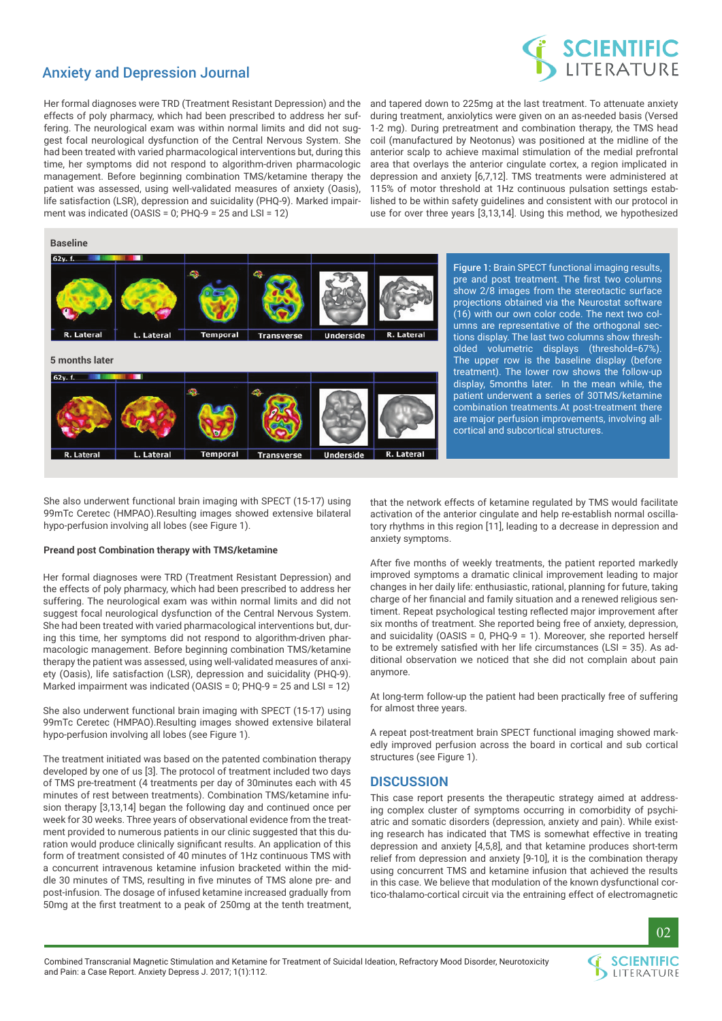# Anxiety and Depression Journal



Her formal diagnoses were TRD (Treatment Resistant Depression) and the effects of poly pharmacy, which had been prescribed to address her suffering. The neurological exam was within normal limits and did not suggest focal neurological dysfunction of the Central Nervous System. She had been treated with varied pharmacological interventions but, during this time, her symptoms did not respond to algorithm-driven pharmacologic management. Before beginning combination TMS/ketamine therapy the patient was assessed, using well-validated measures of anxiety (Oasis), life satisfaction (LSR), depression and suicidality (PHQ-9). Marked impairment was indicated (OASIS = 0; PHQ-9 = 25 and LSI = 12)

and tapered down to 225mg at the last treatment. To attenuate anxiety during treatment, anxiolytics were given on an as-needed basis (Versed 1-2 mg). During pretreatment and combination therapy, the TMS head coil (manufactured by Neotonus) was positioned at the midline of the anterior scalp to achieve maximal stimulation of the medial prefrontal area that overlays the anterior cingulate cortex, a region implicated in depression and anxiety [6,7,12]. TMS treatments were administered at 115% of motor threshold at 1Hz continuous pulsation settings established to be within safety guidelines and consistent with our protocol in use for over three years [3,13,14]. Using this method, we hypothesized

# **Baseline**



Figure 1: Brain SPECT functional imaging results, pre and post treatment. The first two columns show 2/8 images from the stereotactic surface projections obtained via the Neurostat software (16) with our own color code. The next two columns are representative of the orthogonal sections display. The last two columns show thresholded volumetric displays (threshold=67%). The upper row is the baseline display (before treatment). The lower row shows the follow-up display, 5months later. In the mean while, the patient underwent a series of 30TMS/ketamine combination treatments.At post-treatment there are major perfusion improvements, involving allcortical and subcortical structures.

She also underwent functional brain imaging with SPECT (15-17) using 99mTc Ceretec (HMPAO).Resulting images showed extensive bilateral hypo-perfusion involving all lobes (see Figure 1).

#### **Preand post Combination therapy with TMS/ketamine**

Her formal diagnoses were TRD (Treatment Resistant Depression) and the effects of poly pharmacy, which had been prescribed to address her suffering. The neurological exam was within normal limits and did not suggest focal neurological dysfunction of the Central Nervous System. She had been treated with varied pharmacological interventions but, during this time, her symptoms did not respond to algorithm-driven pharmacologic management. Before beginning combination TMS/ketamine therapy the patient was assessed, using well-validated measures of anxiety (Oasis), life satisfaction (LSR), depression and suicidality (PHQ-9). Marked impairment was indicated (OASIS = 0; PHQ-9 = 25 and LSI = 12)

She also underwent functional brain imaging with SPECT (15-17) using 99mTc Ceretec (HMPAO).Resulting images showed extensive bilateral hypo-perfusion involving all lobes (see Figure 1).

The treatment initiated was based on the patented combination therapy developed by one of us [3]. The protocol of treatment included two days of TMS pre-treatment (4 treatments per day of 30minutes each with 45 minutes of rest between treatments). Combination TMS/ketamine infusion therapy [3,13,14] began the following day and continued once per week for 30 weeks. Three years of observational evidence from the treatment provided to numerous patients in our clinic suggested that this duration would produce clinically significant results. An application of this form of treatment consisted of 40 minutes of 1Hz continuous TMS with a concurrent intravenous ketamine infusion bracketed within the middle 30 minutes of TMS, resulting in five minutes of TMS alone pre- and post-infusion. The dosage of infused ketamine increased gradually from 50mg at the first treatment to a peak of 250mg at the tenth treatment,

that the network effects of ketamine regulated by TMS would facilitate activation of the anterior cingulate and help re-establish normal oscillatory rhythms in this region [11], leading to a decrease in depression and anxiety symptoms.

After five months of weekly treatments, the patient reported markedly improved symptoms a dramatic clinical improvement leading to major changes in her daily life: enthusiastic, rational, planning for future, taking charge of her financial and family situation and a renewed religious sentiment. Repeat psychological testing reflected major improvement after six months of treatment. She reported being free of anxiety, depression, and suicidality (OASIS = 0, PHQ-9 = 1). Moreover, she reported herself to be extremely satisfied with her life circumstances (LSI = 35). As additional observation we noticed that she did not complain about pain anymore.

At long-term follow-up the patient had been practically free of suffering for almost three years.

A repeat post-treatment brain SPECT functional imaging showed markedly improved perfusion across the board in cortical and sub cortical structures (see Figure 1).

### **Discussion**

This case report presents the therapeutic strategy aimed at addressing complex cluster of symptoms occurring in comorbidity of psychiatric and somatic disorders (depression, anxiety and pain). While existing research has indicated that TMS is somewhat effective in treating depression and anxiety [4,5,8], and that ketamine produces short-term relief from depression and anxiety [9-10], it is the combination therapy using concurrent TMS and ketamine infusion that achieved the results in this case. We believe that modulation of the known dysfunctional cortico-thalamo-cortical circuit via the entraining effect of electromagnetic